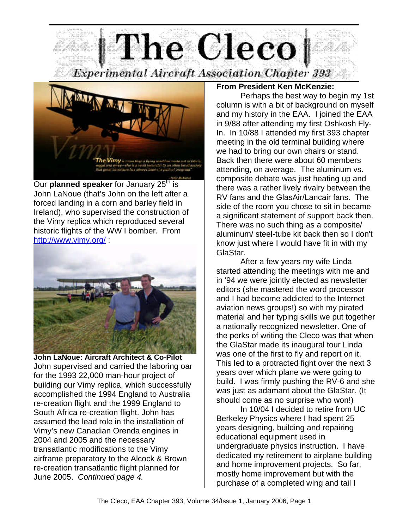**The Cleco Experimental Aircraft Association Chapter 393** 



Our **planned speaker** for January 25<sup>th</sup> is John LaNoue (that's John on the left after a forced landing in a corn and barley field in Ireland), who supervised the construction of the Vimy replica which reproduced several historic flights of the WW I bomber. From http://www.vimy.org/ :



**John LaNoue: Aircraft Architect & Co-Pilot** John supervised and carried the laboring oar for the 1993 22,000 man-hour project of building our Vimy replica, which successfully accomplished the 1994 England to Australia re-creation flight and the 1999 England to South Africa re-creation flight. John has assumed the lead role in the installation of Vimy's new Canadian Orenda engines in 2004 and 2005 and the necessary transatlantic modifications to the Vimy airframe preparatory to the Alcock & Brown re-creation transatlantic flight planned for June 2005. *Continued page 4.* 

### **From President Ken McKenzie:**

Perhaps the best way to begin my 1st column is with a bit of background on myself and my history in the EAA. I joined the EAA in 9/88 after attending my first Oshkosh Fly-In. In 10/88 I attended my first 393 chapter meeting in the old terminal building where we had to bring our own chairs or stand. Back then there were about 60 members attending, on average. The aluminum vs. composite debate was just heating up and there was a rather lively rivalry between the RV fans and the GlasAir/Lancair fans. The side of the room you chose to sit in became a significant statement of support back then. There was no such thing as a composite/ aluminum/ steel-tube kit back then so I don't know just where I would have fit in with my GlaStar.

After a few years my wife Linda started attending the meetings with me and in '94 we were jointly elected as newsletter editors (she mastered the word processor and I had become addicted to the Internet aviation news groups!) so with my pirated material and her typing skills we put together a nationally recognized newsletter. One of the perks of writing the Cleco was that when the GlaStar made its inaugural tour Linda was one of the first to fly and report on it. This led to a protracted fight over the next 3 years over which plane we were going to build. I was firmly pushing the RV-6 and she was just as adamant about the GlaStar. (It should come as no surprise who won!)

In 10/04 I decided to retire from UC Berkeley Physics where I had spent 25 years designing, building and repairing educational equipment used in undergraduate physics instruction. I have dedicated my retirement to airplane building and home improvement projects. So far, mostly home improvement but with the purchase of a completed wing and tail I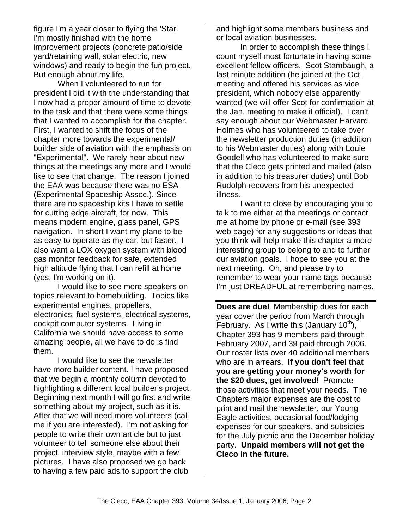figure I'm a year closer to flying the 'Star. I'm mostly finished with the home improvement projects (concrete patio/side yard/retaining wall, solar electric, new windows) and ready to begin the fun project. But enough about my life.

When I volunteered to run for president I did it with the understanding that I now had a proper amount of time to devote to the task and that there were some things that I wanted to accomplish for the chapter. First, I wanted to shift the focus of the chapter more towards the experimental/ builder side of aviation with the emphasis on "Experimental". We rarely hear about new things at the meetings any more and I would like to see that change. The reason I joined the EAA was because there was no ESA (Experimental Spaceship Assoc.). Since there are no spaceship kits I have to settle for cutting edge aircraft, for now. This means modern engine, glass panel, GPS navigation. In short I want my plane to be as easy to operate as my car, but faster. I also want a LOX oxygen system with blood gas monitor feedback for safe, extended high altitude flying that I can refill at home (yes, I'm working on it).

I would like to see more speakers on topics relevant to homebuilding. Topics like experimental engines, propellers, electronics, fuel systems, electrical systems, cockpit computer systems. Living in California we should have access to some amazing people, all we have to do is find them.

I would like to see the newsletter have more builder content. I have proposed that we begin a monthly column devoted to highlighting a different local builder's project. Beginning next month I will go first and write something about my project, such as it is. After that we will need more volunteers (call me if you are interested). I'm not asking for people to write their own article but to just volunteer to tell someone else about their project, interview style, maybe with a few pictures. I have also proposed we go back to having a few paid ads to support the club

and highlight some members business and or local aviation businesses.

In order to accomplish these things I count myself most fortunate in having some excellent fellow officers. Scot Stambaugh, a last minute addition (he joined at the Oct. meeting and offered his services as vice president, which nobody else apparently wanted (we will offer Scot for confirmation at the Jan. meeting to make it official). I can't say enough about our Webmaster Harvard Holmes who has volunteered to take over the newsletter production duties (in addition to his Webmaster duties) along with Louie Goodell who has volunteered to make sure that the Cleco gets printed and mailed (also in addition to his treasurer duties) until Bob Rudolph recovers from his unexpected illness.

I want to close by encouraging you to talk to me either at the meetings or contact me at home by phone or e-mail (see 393 web page) for any suggestions or ideas that you think will help make this chapter a more interesting group to belong to and to further our aviation goals. I hope to see you at the next meeting. Oh, and please try to remember to wear your name tags because I'm just DREADFUL at remembering names.

**Dues are due!** Membership dues for each year cover the period from March through February. As I write this (January  $10<sup>th</sup>$ ), Chapter 393 has 9 members paid through February 2007, and 39 paid through 2006. Our roster lists over 40 additional members who are in arrears. **If you don't feel that you are getting your money's worth for the \$20 dues, get involved!** Promote those activities that meet your needs. The Chapters major expenses are the cost to print and mail the newsletter, our Young Eagle activities, occasional food/lodging expenses for our speakers, and subsidies for the July picnic and the December holiday party. **Unpaid members will not get the Cleco in the future.**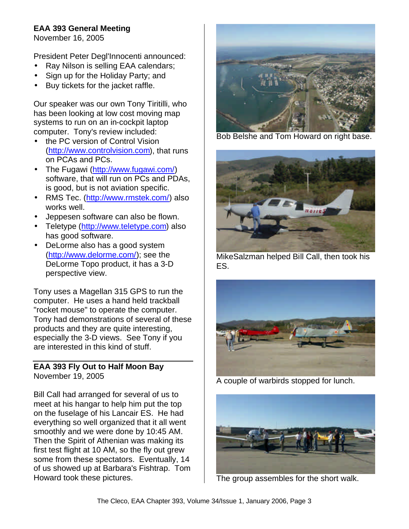### **EAA 393 General Meeting**

November 16, 2005

President Peter Degl'Innocenti announced:

- Ray Nilson is selling EAA calendars;
- Sign up for the Holiday Party; and
- Buy tickets for the jacket raffle.

Our speaker was our own Tony Tiritilli, who has been looking at low cost moving map systems to run on an in-cockpit laptop computer. Tony's review included:

- the PC version of Control Vision (http://www.controlvision.com), that runs on PCAs and PCs.
- The Fugawi (http://www.fugawi.com/) software, that will run on PCs and PDAs, is good, but is not aviation specific.
- RMS Tec. (http://www.rmstek.com/) also works well.
- Jeppesen software can also be flown.
- Teletype (http://www.teletype.com) also has good software.
- DeLorme also has a good system (http://www.delorme.com/); see the DeLorme Topo product, it has a 3-D perspective view.

Tony uses a Magellan 315 GPS to run the computer. He uses a hand held trackball "rocket mouse" to operate the computer. Tony had demonstrations of several of these products and they are quite interesting, especially the 3-D views. See Tony if you are interested in this kind of stuff.

### **EAA 393 Fly Out to Half Moon Bay** November 19, 2005

Bill Call had arranged for several of us to meet at his hangar to help him put the top on the fuselage of his Lancair ES. He had everything so well organized that it all went smoothly and we were done by 10:45 AM. Then the Spirit of Athenian was making its first test flight at 10 AM, so the fly out grew some from these spectators. Eventually, 14 of us showed up at Barbara's Fishtrap. Tom Howard took these pictures.



Bob Belshe and Tom Howard on right base.



MikeSalzman helped Bill Call, then took his ES.



A couple of warbirds stopped for lunch.



The group assembles for the short walk.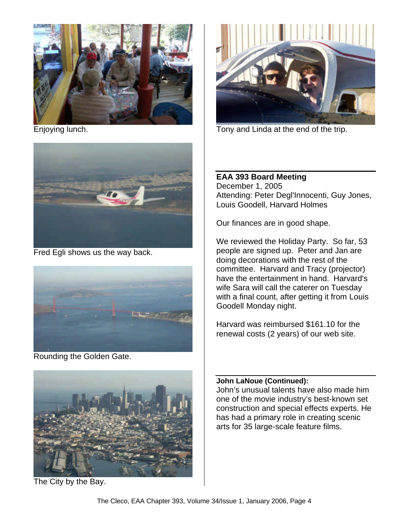

Enjoying lunch.



Fred Egli shows us the way back.



Rounding the Golden Gate.



The City by the Bay.



Tony and Linda at the end of the trip.

### **EAA 393 Board Meeting** December 1, 2005 Attending: Peter Degl'Innocenti, Guy Jones, Louis Goodell, Harvard Holmes

Our finances are in good shape.

We reviewed the Holiday Party. So far, 53 people are signed up. Peter and Jan are doing decorations with the rest of the committee. Harvard and Tracy (projector) have the entertainment in hand. Harvard's wife Sara will call the caterer on Tuesday with a final count, after getting it from Louis Goodell Monday night.

Harvard was reimbursed \$161.10 for the renewal costs (2 years) of our web site.

### **John LaNoue (Continued):**

John's unusual talents have also made him one of the movie industry's best-known set construction and special effects experts. He has had a primary role in creating scenic arts for 35 large-scale feature films.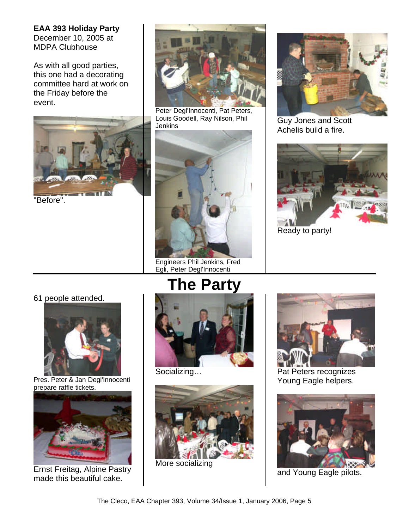**EAA 393 Holiday Party** December 10, 2005 at MDPA Clubhouse

As with all good parties, this one had a decorating committee hard at work on the Friday before the event.



"Before".



Peter Degl'Innocenti, Pat Peters, Louis Goodell, Ray Nilson, Phil **Jenkins** 



Engineers Phil Jenkins, Fred Egli, Peter Degl'Innocenti



Guy Jones and Scott Achelis build a fire.



Ready to party!

61 people attended.



Pres. Peter & Jan Degl'Innocenti prepare raffle tickets.



Ernst Freitag, Alpine Pastry made this beautiful cake.

# **The Party**



Socializing…



More socializing



Pat Peters recognizes Young Eagle helpers.



and Young Eagle pilots.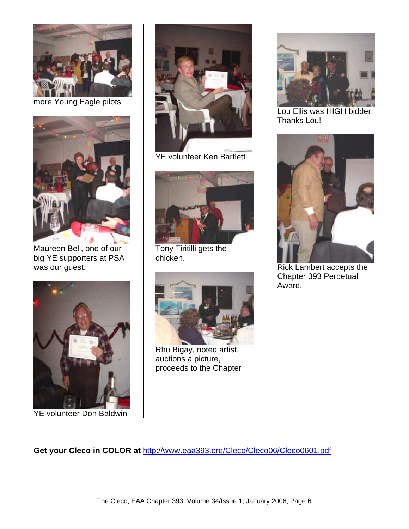

more Young Eagle pilots



Maureen Bell, one of our big YE supporters at PSA was our guest.



YE volunteer Don Baldwin



YE volunteer Ken Bartlett



Tony Tiritilli gets the chicken.



Rhu Bigay, noted artist, auctions a picture, proceeds to the Chapter



Lou Ellis was HIGH bidder. Thanks Lou!



Rick Lambert accepts the Chapter 393 Perpetual Award.

**Get your Cleco in COLOR at** http://www.eaa393.org/Cleco/Cleco06/Cleco0601.pdf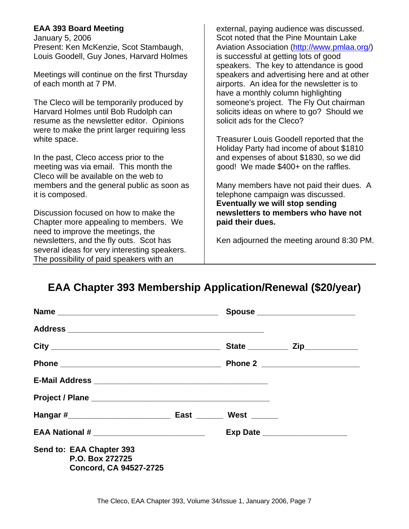### **EAA 393 Board Meeting**

January 5, 2006 Present: Ken McKenzie, Scot Stambaugh, Louis Goodell, Guy Jones, Harvard Holmes

Meetings will continue on the first Thursday of each month at 7 PM.

The Cleco will be temporarily produced by Harvard Holmes until Bob Rudolph can resume as the newsletter editor. Opinions were to make the print larger requiring less white space.

In the past, Cleco access prior to the meeting was via email. This month the Cleco will be available on the web to members and the general public as soon as it is composed.

Discussion focused on how to make the Chapter more appealing to members. We need to improve the meetings, the newsletters, and the fly outs. Scot has several ideas for very interesting speakers. The possibility of paid speakers with an

external, paying audience was discussed. Scot noted that the Pine Mountain Lake Aviation Association (http://www.pmlaa.org/) is successful at getting lots of good speakers. The key to attendance is good speakers and advertising here and at other airports. An idea for the newsletter is to have a monthly column highlighting someone's project. The Fly Out chairman solicits ideas on where to go? Should we solicit ads for the Cleco?

Treasurer Louis Goodell reported that the Holiday Party had income of about \$1810 and expenses of about \$1830, so we did good! We made \$400+ on the raffles.

Many members have not paid their dues. A telephone campaign was discussed. **Eventually we will stop sending newsletters to members who have not paid their dues.** 

Ken adjourned the meeting around 8:30 PM.

## **EAA Chapter 393 Membership Application/Renewal (\$20/year)**

|                                                                              |  | Spouse ________________________  |
|------------------------------------------------------------------------------|--|----------------------------------|
|                                                                              |  |                                  |
|                                                                              |  |                                  |
|                                                                              |  |                                  |
|                                                                              |  |                                  |
|                                                                              |  |                                  |
|                                                                              |  |                                  |
| EAA National # _____________________________                                 |  | Exp Date _______________________ |
| Send to: EAA Chapter 393<br>P.O. Box 272725<br><b>Concord, CA 94527-2725</b> |  |                                  |